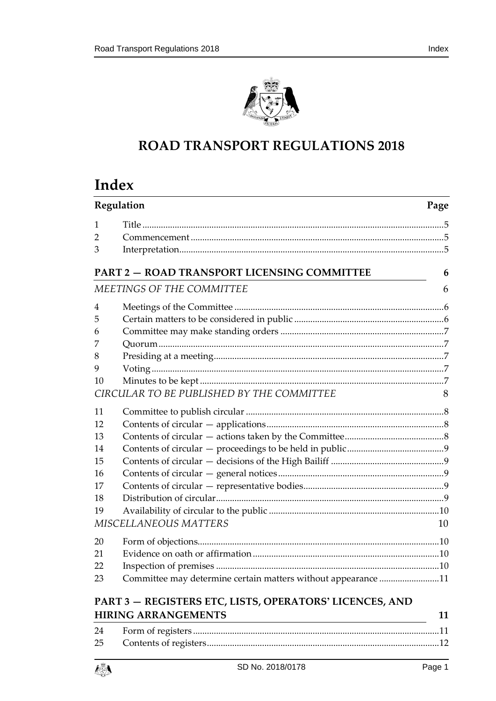

# **ROAD TRANSPORT REGULATIONS 2018**

# **Index**

| Regulation |                                                               | Page |
|------------|---------------------------------------------------------------|------|
| 1          |                                                               |      |
| 2          |                                                               |      |
| 3          |                                                               |      |
|            | <b>PART 2 - ROAD TRANSPORT LICENSING COMMITTEE</b>            | 6    |
|            | MEETINGS OF THE COMMITTEE                                     | 6    |
| 4          |                                                               |      |
| 5          |                                                               |      |
| 6          |                                                               |      |
| 7          |                                                               |      |
| 8          |                                                               |      |
| 9          |                                                               |      |
| 10         |                                                               |      |
|            | CIRCULAR TO BE PUBLISHED BY THE COMMITTEE                     | 8    |
| 11         |                                                               |      |
| 12         |                                                               |      |
| 13         |                                                               |      |
| 14         |                                                               |      |
| 15         |                                                               |      |
| 16         |                                                               |      |
| 17         |                                                               |      |
| 18         |                                                               |      |
| 19         |                                                               |      |
|            | MISCELLANEOUS MATTERS                                         | 10   |
| 20         |                                                               |      |
| 21         |                                                               |      |
| 22         |                                                               |      |
| 23         | Committee may determine certain matters without appearance 11 |      |
|            | PART 3 - REGISTERS ETC, LISTS, OPERATORS' LICENCES, AND       |      |
|            | <b>HIRING ARRANGEMENTS</b>                                    | 11   |
|            | 24 Form of registers                                          | 11   |

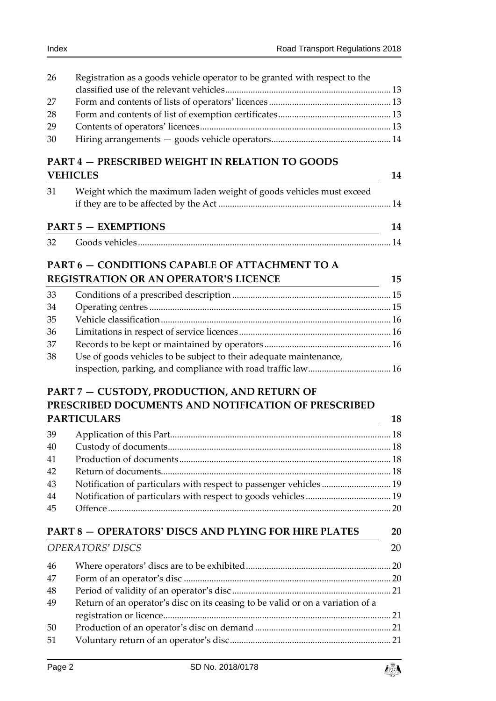| 26       | Registration as a goods vehicle operator to be granted with respect to the                                                         |    |
|----------|------------------------------------------------------------------------------------------------------------------------------------|----|
|          |                                                                                                                                    |    |
| 27       |                                                                                                                                    |    |
| 28       |                                                                                                                                    |    |
| 29       |                                                                                                                                    |    |
| 30       |                                                                                                                                    |    |
|          | <b>PART 4 - PRESCRIBED WEIGHT IN RELATION TO GOODS</b>                                                                             |    |
|          | <b>VEHICLES</b>                                                                                                                    | 14 |
| 31       | Weight which the maximum laden weight of goods vehicles must exceed                                                                |    |
|          |                                                                                                                                    |    |
|          | <b>PART 5 - EXEMPTIONS</b>                                                                                                         | 14 |
| 32       |                                                                                                                                    |    |
|          | PART 6 - CONDITIONS CAPABLE OF ATTACHMENT TO A                                                                                     |    |
|          | <b>REGISTRATION OR AN OPERATOR'S LICENCE</b>                                                                                       | 15 |
| 33       |                                                                                                                                    |    |
|          |                                                                                                                                    |    |
| 34<br>35 |                                                                                                                                    |    |
| 36       |                                                                                                                                    |    |
| 37       |                                                                                                                                    |    |
| 38       |                                                                                                                                    |    |
|          | Use of goods vehicles to be subject to their adequate maintenance,<br>inspection, parking, and compliance with road traffic law 16 |    |
|          |                                                                                                                                    |    |
|          | PART 7 - CUSTODY, PRODUCTION, AND RETURN OF                                                                                        |    |
|          | PRESCRIBED DOCUMENTS AND NOTIFICATION OF PRESCRIBED                                                                                |    |
|          | <b>PARTICULARS</b>                                                                                                                 | 18 |
| 39       |                                                                                                                                    |    |
| 40       |                                                                                                                                    |    |
| 41       |                                                                                                                                    |    |
| 42       |                                                                                                                                    |    |
| 43       | Notification of particulars with respect to passenger vehicles 19                                                                  |    |
| 44       |                                                                                                                                    |    |
| 45       |                                                                                                                                    |    |
|          |                                                                                                                                    |    |
|          | PART 8 - OPERATORS' DISCS AND PLYING FOR HIRE PLATES                                                                               | 20 |
|          | <b>OPERATORS' DISCS</b>                                                                                                            | 20 |
| 46       |                                                                                                                                    |    |
| 47       |                                                                                                                                    |    |
| 48       |                                                                                                                                    |    |
| 49       | Return of an operator's disc on its ceasing to be valid or on a variation of a                                                     |    |
|          |                                                                                                                                    |    |
| 50       |                                                                                                                                    |    |
| 51       |                                                                                                                                    |    |
|          |                                                                                                                                    |    |

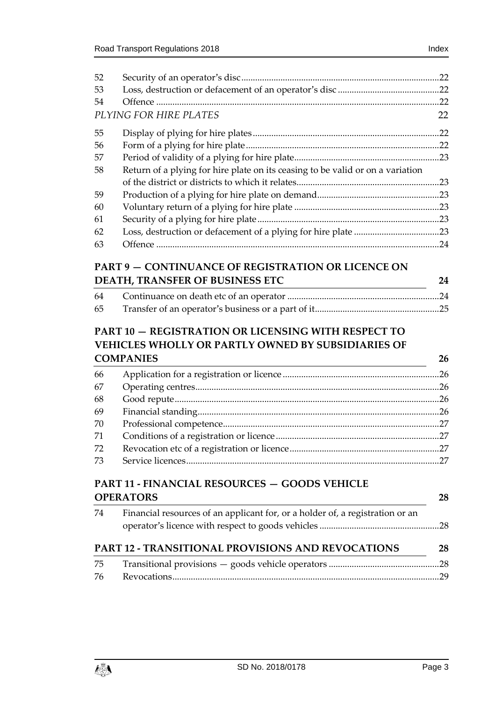| 52 |                                                                                | .22 |
|----|--------------------------------------------------------------------------------|-----|
| 53 |                                                                                |     |
| 54 |                                                                                | .22 |
|    | PLYING FOR HIRE PLATES                                                         | 22  |
| 55 |                                                                                | .22 |
| 56 |                                                                                | .22 |
| 57 |                                                                                |     |
| 58 | Return of a plying for hire plate on its ceasing to be valid or on a variation |     |
|    |                                                                                |     |
| 59 |                                                                                |     |
| 60 |                                                                                |     |
| 61 |                                                                                |     |
| 62 |                                                                                |     |
| 63 |                                                                                | .24 |

## **PART 9 — [CONTINUANCE OF REGISTRATION OR LICENCE ON](#page-23-1)  [DEATH, TRANSFER OF BUSINESS ETC](#page-23-1) 24**

| 64 |  |
|----|--|
| 65 |  |

## **PART 10 — [REGISTRATION OR LICENSING WITH RESPECT TO](#page-25-0)  [VEHICLES WHOLLY OR PARTLY OWNED BY SUBSIDIARIES OF](#page-25-0)  [COMPANIES](#page-25-0) 26**

| 66 |  |
|----|--|
| 67 |  |
| 68 |  |
| 69 |  |
| 70 |  |
| 71 |  |
| 72 |  |
| 73 |  |
|    |  |

# **PART 11 - [FINANCIAL RESOURCES](#page-27-0) — GOODS VEHICLE [OPERATORS](#page-27-0) 28**

| -74 | Financial resources of an applicant for, or a holder of, a registration or an |    |
|-----|-------------------------------------------------------------------------------|----|
|     | PART 12 - TRANSITIONAL PROVISIONS AND REVOCATIONS                             | 28 |
| -75 |                                                                               |    |
| -76 |                                                                               |    |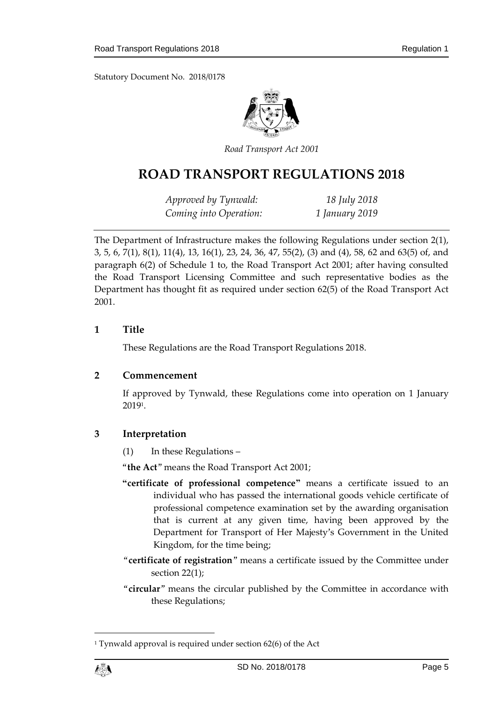Statutory Document No. 2018/0178



*Road Transport Act 2001*

# **ROAD TRANSPORT REGULATIONS 2018**

*Approved by Tynwald: 18 July 2018 Coming into Operation: 1 January 2019*

The Department of Infrastructure makes the following Regulations under section 2(1), 3, 5, 6, 7(1), 8(1), 11(4), 13, 16(1), 23, 24, 36, 47, 55(2), (3) and (4), 58, 62 and 63(5) of, and paragraph 6(2) of Schedule 1 to, the Road Transport Act 2001; after having consulted the Road Transport Licensing Committee and such representative bodies as the Department has thought fit as required under section 62(5) of the Road Transport Act 2001.

#### <span id="page-4-0"></span>**1 Title**

These Regulations are the Road Transport Regulations 2018.

#### <span id="page-4-1"></span>**2 Commencement**

If approved by Tynwald, these Regulations come into operation on 1 January 2019 1 .

#### <span id="page-4-2"></span>**3 Interpretation**

(1) In these Regulations –

"**the Act**" means the Road Transport Act 2001;

- **"certificate of professional competence"** means a certificate issued to an individual who has passed the international goods vehicle certificate of professional competence examination set by the awarding organisation that is current at any given time, having been approved by the Department for Transport of Her Majesty's Government in the United Kingdom, for the time being;
- "**certificate of registration**" means a certificate issued by the Committee under section 22(1);
- "**circular**" means the circular published by the Committee in accordance with these Regulations;

1

<sup>&</sup>lt;sup>1</sup> Tynwald approval is required under section 62(6) of the Act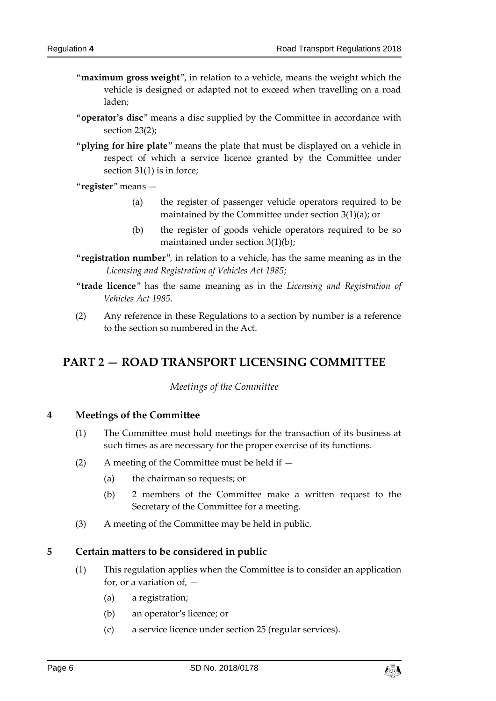- "**maximum gross weight**", in relation to a vehicle, means the weight which the vehicle is designed or adapted not to exceed when travelling on a road laden;
- "**operator's disc**" means a disc supplied by the Committee in accordance with section 23(2);
- "**plying for hire plate**" means the plate that must be displayed on a vehicle in respect of which a service licence granted by the Committee under section 31(1) is in force;
- "**register**" means
	- (a) the register of passenger vehicle operators required to be maintained by the Committee under section 3(1)(a); or
	- (b) the register of goods vehicle operators required to be so maintained under section 3(1)(b);
- "**registration number**", in relation to a vehicle, has the same meaning as in the *Licensing and Registration of Vehicles Act 1985*;
- "**trade licence**" has the same meaning as in the *Licensing and Registration of Vehicles Act 1985*.
- (2) Any reference in these Regulations to a section by number is a reference to the section so numbered in the Act.

# <span id="page-5-1"></span><span id="page-5-0"></span>**PART 2 — ROAD TRANSPORT LICENSING COMMITTEE**

*Meetings of the Committee*

#### <span id="page-5-2"></span>**4 Meetings of the Committee**

- (1) The Committee must hold meetings for the transaction of its business at such times as are necessary for the proper exercise of its functions.
- (2) A meeting of the Committee must be held if  $-$ 
	- (a) the chairman so requests; or
	- (b) 2 members of the Committee make a written request to the Secretary of the Committee for a meeting.
- (3) A meeting of the Committee may be held in public.

#### <span id="page-5-3"></span>**5 Certain matters to be considered in public**

- (1) This regulation applies when the Committee is to consider an application for, or a variation of,  $-$ 
	- (a) a registration;
	- (b) an operator's licence; or
	- (c) a service licence under section 25 (regular services).

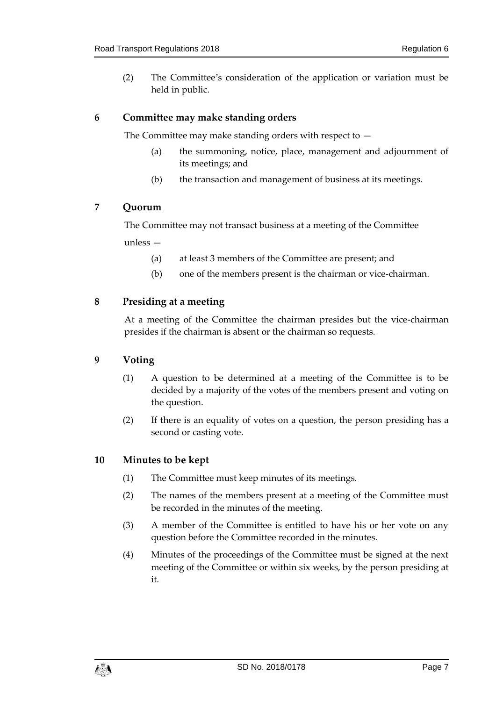(2) The Committee's consideration of the application or variation must be held in public.

#### <span id="page-6-0"></span>**6 Committee may make standing orders**

The Committee may make standing orders with respect to —

- (a) the summoning, notice, place, management and adjournment of its meetings; and
- (b) the transaction and management of business at its meetings.

#### <span id="page-6-1"></span>**7 Quorum**

The Committee may not transact business at a meeting of the Committee

unless —

- (a) at least 3 members of the Committee are present; and
- (b) one of the members present is the chairman or vice-chairman.

#### <span id="page-6-2"></span>**8 Presiding at a meeting**

At a meeting of the Committee the chairman presides but the vice-chairman presides if the chairman is absent or the chairman so requests.

#### <span id="page-6-3"></span>**9 Voting**

- (1) A question to be determined at a meeting of the Committee is to be decided by a majority of the votes of the members present and voting on the question.
- (2) If there is an equality of votes on a question, the person presiding has a second or casting vote.

#### <span id="page-6-4"></span>**10 Minutes to be kept**

- (1) The Committee must keep minutes of its meetings.
- (2) The names of the members present at a meeting of the Committee must be recorded in the minutes of the meeting.
- (3) A member of the Committee is entitled to have his or her vote on any question before the Committee recorded in the minutes.
- (4) Minutes of the proceedings of the Committee must be signed at the next meeting of the Committee or within six weeks, by the person presiding at it.

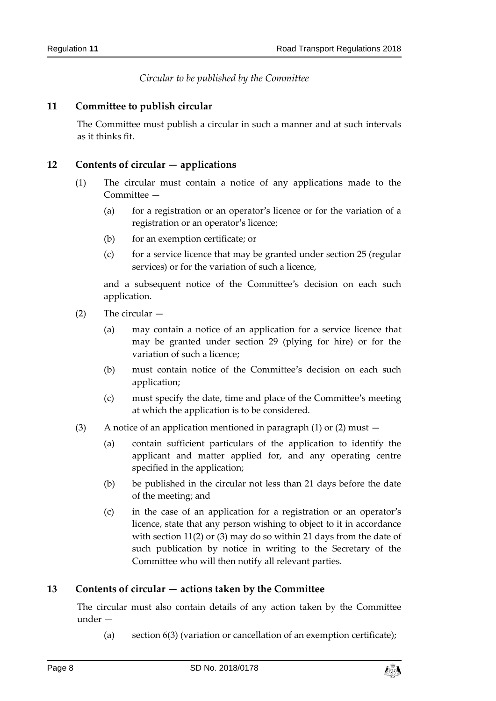*Circular to be published by the Committee*

#### <span id="page-7-1"></span><span id="page-7-0"></span>**11 Committee to publish circular**

The Committee must publish a circular in such a manner and at such intervals as it thinks fit.

#### <span id="page-7-2"></span>**12 Contents of circular — applications**

- (1) The circular must contain a notice of any applications made to the Committee —
	- (a) for a registration or an operator's licence or for the variation of a registration or an operator's licence;
	- (b) for an exemption certificate; or
	- $(c)$  for a service licence that may be granted under section 25 (regular services) or for the variation of such a licence,

and a subsequent notice of the Committee's decision on each such application.

- (2) The circular
	- (a) may contain a notice of an application for a service licence that may be granted under section 29 (plying for hire) or for the variation of such a licence;
	- (b) must contain notice of the Committee's decision on each such application;
	- (c) must specify the date, time and place of the Committee's meeting at which the application is to be considered.
- (3) A notice of an application mentioned in paragraph (1) or (2) must  $-$ 
	- (a) contain sufficient particulars of the application to identify the applicant and matter applied for, and any operating centre specified in the application;
	- (b) be published in the circular not less than 21 days before the date of the meeting; and
	- (c) in the case of an application for a registration or an operator's licence, state that any person wishing to object to it in accordance with section 11(2) or (3) may do so within 21 days from the date of such publication by notice in writing to the Secretary of the Committee who will then notify all relevant parties.

#### <span id="page-7-3"></span>**13 Contents of circular — actions taken by the Committee**

The circular must also contain details of any action taken by the Committee under —

(a) section 6(3) (variation or cancellation of an exemption certificate);

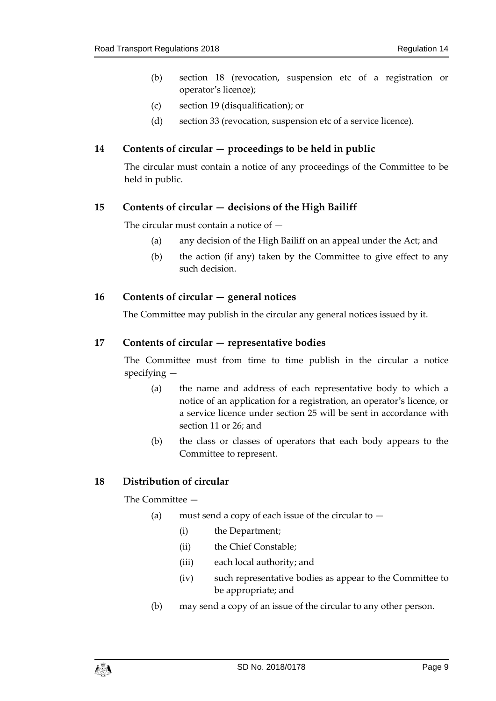- (b) section 18 (revocation, suspension etc of a registration or operator's licence);
- (c) section 19 (disqualification); or
- (d) section 33 (revocation, suspension etc of a service licence).

#### <span id="page-8-0"></span>**14 Contents of circular — proceedings to be held in public**

The circular must contain a notice of any proceedings of the Committee to be held in public.

#### <span id="page-8-1"></span>**15 Contents of circular — decisions of the High Bailiff**

The circular must contain a notice of —

- (a) any decision of the High Bailiff on an appeal under the Act; and
- (b) the action (if any) taken by the Committee to give effect to any such decision.

#### <span id="page-8-2"></span>16 Contents of circular – general notices

The Committee may publish in the circular any general notices issued by it.

#### <span id="page-8-3"></span>**17 Contents of circular — representative bodies**

The Committee must from time to time publish in the circular a notice specifying —

- (a) the name and address of each representative body to which a notice of an application for a registration, an operator's licence, or a service licence under section 25 will be sent in accordance with section 11 or 26; and
- (b) the class or classes of operators that each body appears to the Committee to represent.

#### <span id="page-8-4"></span>**18 Distribution of circular**

The Committee —

- (a) must send a copy of each issue of the circular to  $-$ 
	- (i) the Department;
	- (ii) the Chief Constable;
	- (iii) each local authority; and
	- (iv) such representative bodies as appear to the Committee to be appropriate; and
- (b) may send a copy of an issue of the circular to any other person.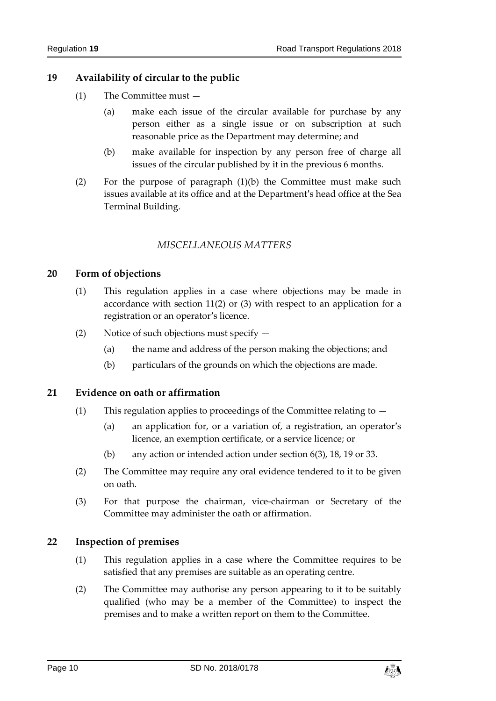### <span id="page-9-0"></span>**19 Availability of circular to the public**

- (1) The Committee must
	- (a) make each issue of the circular available for purchase by any person either as a single issue or on subscription at such reasonable price as the Department may determine; and
	- (b) make available for inspection by any person free of charge all issues of the circular published by it in the previous 6 months.
- (2) For the purpose of paragraph  $(1)(b)$  the Committee must make such issues available at its office and at the Department's head office at the Sea Terminal Building.

#### *MISCELLANEOUS MATTERS*

#### <span id="page-9-2"></span><span id="page-9-1"></span>**20 Form of objections**

- (1) This regulation applies in a case where objections may be made in accordance with section 11(2) or (3) with respect to an application for a registration or an operator's licence.
- (2) Notice of such objections must specify
	- (a) the name and address of the person making the objections; and
	- (b) particulars of the grounds on which the objections are made.

#### <span id="page-9-3"></span>**21 Evidence on oath or affirmation**

- (1) This regulation applies to proceedings of the Committee relating to
	- (a) an application for, or a variation of, a registration, an operator's licence, an exemption certificate, or a service licence; or
	- (b) any action or intended action under section 6(3), 18, 19 or 33.
- (2) The Committee may require any oral evidence tendered to it to be given on oath.
- (3) For that purpose the chairman, vice-chairman or Secretary of the Committee may administer the oath or affirmation.

#### <span id="page-9-4"></span>**22 Inspection of premises**

- (1) This regulation applies in a case where the Committee requires to be satisfied that any premises are suitable as an operating centre.
- (2) The Committee may authorise any person appearing to it to be suitably qualified (who may be a member of the Committee) to inspect the premises and to make a written report on them to the Committee.

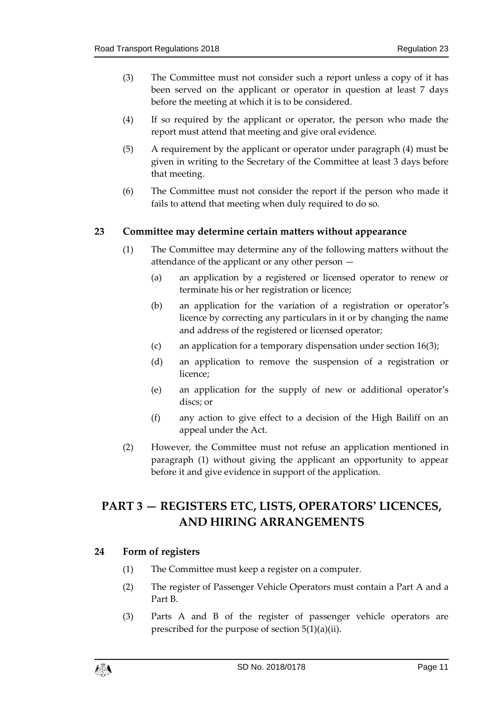- (3) The Committee must not consider such a report unless a copy of it has been served on the applicant or operator in question at least 7 days before the meeting at which it is to be considered.
- (4) If so required by the applicant or operator, the person who made the report must attend that meeting and give oral evidence.
- (5) A requirement by the applicant or operator under paragraph (4) must be given in writing to the Secretary of the Committee at least 3 days before that meeting.
- (6) The Committee must not consider the report if the person who made it fails to attend that meeting when duly required to do so.

#### <span id="page-10-0"></span>**23 Committee may determine certain matters without appearance**

- (1) The Committee may determine any of the following matters without the attendance of the applicant or any other person —
	- (a) an application by a registered or licensed operator to renew or terminate his or her registration or licence;
	- (b) an application for the variation of a registration or operator's licence by correcting any particulars in it or by changing the name and address of the registered or licensed operator;
	- (c) an application for a temporary dispensation under section 16(3);
	- (d) an application to remove the suspension of a registration or licence;
	- (e) an application for the supply of new or additional operator's discs; or
	- (f) any action to give effect to a decision of the High Bailiff on an appeal under the Act.
- (2) However, the Committee must not refuse an application mentioned in paragraph (1) without giving the applicant an opportunity to appear before it and give evidence in support of the application.

# <span id="page-10-1"></span>**PART 3 — REGISTERS ETC, LISTS, OPERATORS' LICENCES, AND HIRING ARRANGEMENTS**

#### <span id="page-10-2"></span>**24 Form of registers**

- (1) The Committee must keep a register on a computer.
- (2) The register of Passenger Vehicle Operators must contain a Part A and a Part B.
- (3) Parts A and B of the register of passenger vehicle operators are prescribed for the purpose of section 5(1)(a)(ii).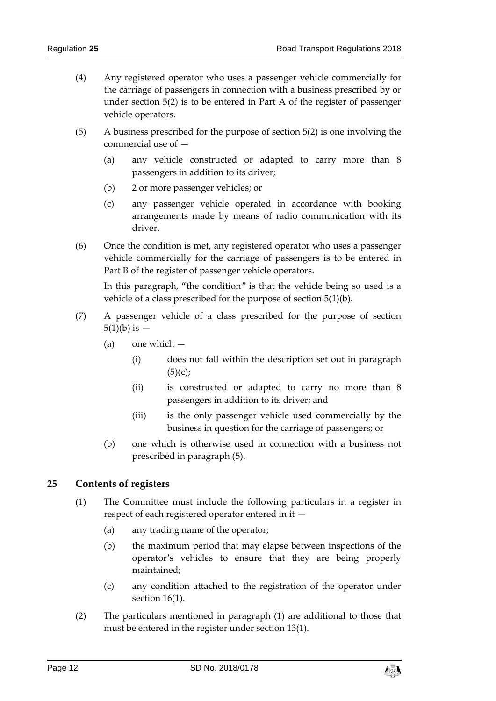- (4) Any registered operator who uses a passenger vehicle commercially for the carriage of passengers in connection with a business prescribed by or under section 5(2) is to be entered in Part A of the register of passenger vehicle operators.
- (5) A business prescribed for the purpose of section 5(2) is one involving the commercial use of —
	- (a) any vehicle constructed or adapted to carry more than 8 passengers in addition to its driver;
	- (b) 2 or more passenger vehicles; or
	- (c) any passenger vehicle operated in accordance with booking arrangements made by means of radio communication with its driver.
- (6) Once the condition is met, any registered operator who uses a passenger vehicle commercially for the carriage of passengers is to be entered in Part B of the register of passenger vehicle operators.

In this paragraph, "the condition" is that the vehicle being so used is a vehicle of a class prescribed for the purpose of section 5(1)(b).

- (7) A passenger vehicle of a class prescribed for the purpose of section  $5(1)(b)$  is  $-$ 
	- (a) one which
		- (i) does not fall within the description set out in paragraph  $(5)(c);$
		- (ii) is constructed or adapted to carry no more than 8 passengers in addition to its driver; and
		- (iii) is the only passenger vehicle used commercially by the business in question for the carriage of passengers; or
	- (b) one which is otherwise used in connection with a business not prescribed in paragraph (5).

#### <span id="page-11-0"></span>**25 Contents of registers**

- (1) The Committee must include the following particulars in a register in respect of each registered operator entered in it —
	- (a) any trading name of the operator;
	- (b) the maximum period that may elapse between inspections of the operator's vehicles to ensure that they are being properly maintained;
	- (c) any condition attached to the registration of the operator under section 16(1).
- (2) The particulars mentioned in paragraph (1) are additional to those that must be entered in the register under section 13(1).

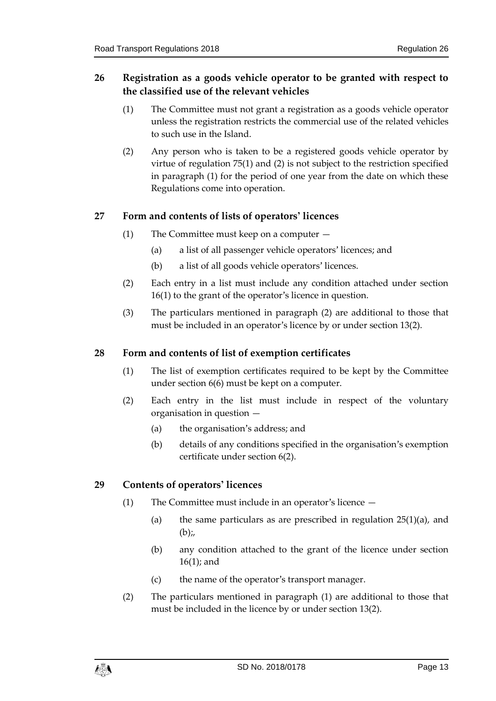## <span id="page-12-0"></span>**26 Registration as a goods vehicle operator to be granted with respect to the classified use of the relevant vehicles**

- (1) The Committee must not grant a registration as a goods vehicle operator unless the registration restricts the commercial use of the related vehicles to such use in the Island.
- (2) Any person who is taken to be a registered goods vehicle operator by virtue of regulation 75(1) and (2) is not subject to the restriction specified in paragraph (1) for the period of one year from the date on which these Regulations come into operation.

## <span id="page-12-1"></span>**27 Form and contents of lists of operators' licences**

- (1) The Committee must keep on a computer
	- (a) a list of all passenger vehicle operators' licences; and
	- (b) a list of all goods vehicle operators' licences.
- (2) Each entry in a list must include any condition attached under section 16(1) to the grant of the operator's licence in question.
- (3) The particulars mentioned in paragraph (2) are additional to those that must be included in an operator's licence by or under section 13(2).

#### <span id="page-12-2"></span>**28 Form and contents of list of exemption certificates**

- (1) The list of exemption certificates required to be kept by the Committee under section 6(6) must be kept on a computer.
- (2) Each entry in the list must include in respect of the voluntary organisation in question —
	- (a) the organisation's address; and
	- (b) details of any conditions specified in the organisation's exemption certificate under section 6(2).

#### <span id="page-12-3"></span>**29 Contents of operators' licences**

- (1) The Committee must include in an operator's licence
	- (a) the same particulars as are prescribed in regulation  $25(1)(a)$ , and  $(b)$ ;
	- (b) any condition attached to the grant of the licence under section 16(1); and
	- (c) the name of the operator's transport manager.
- (2) The particulars mentioned in paragraph (1) are additional to those that must be included in the licence by or under section 13(2).

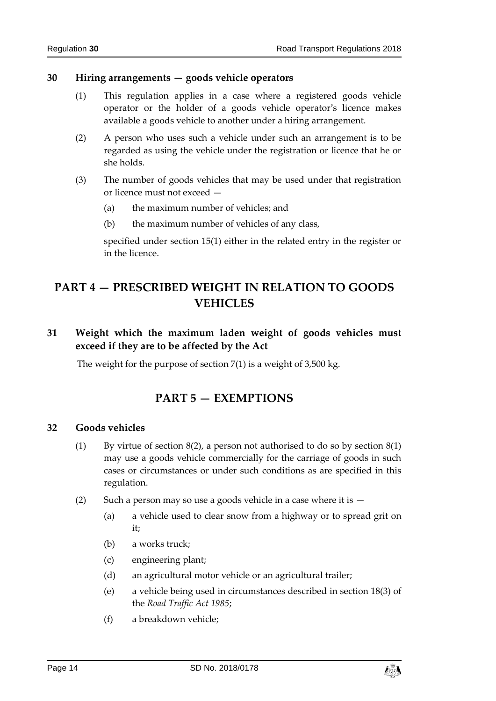#### <span id="page-13-0"></span>**30 Hiring arrangements — goods vehicle operators**

- (1) This regulation applies in a case where a registered goods vehicle operator or the holder of a goods vehicle operator's licence makes available a goods vehicle to another under a hiring arrangement.
- (2) A person who uses such a vehicle under such an arrangement is to be regarded as using the vehicle under the registration or licence that he or she holds.
- (3) The number of goods vehicles that may be used under that registration or licence must not exceed —
	- (a) the maximum number of vehicles; and
	- (b) the maximum number of vehicles of any class,

specified under section 15(1) either in the related entry in the register or in the licence.

# <span id="page-13-1"></span>**PART 4 — PRESCRIBED WEIGHT IN RELATION TO GOODS VEHICLES**

## <span id="page-13-2"></span>**31 Weight which the maximum laden weight of goods vehicles must exceed if they are to be affected by the Act**

<span id="page-13-3"></span>The weight for the purpose of section 7(1) is a weight of 3,500 kg.

## **PART 5 — EXEMPTIONS**

#### <span id="page-13-4"></span>**32 Goods vehicles**

- (1) By virtue of section  $8(2)$ , a person not authorised to do so by section  $8(1)$ may use a goods vehicle commercially for the carriage of goods in such cases or circumstances or under such conditions as are specified in this regulation.
- (2) Such a person may so use a goods vehicle in a case where it is  $-$ 
	- (a) a vehicle used to clear snow from a highway or to spread grit on it;
	- (b) a works truck;
	- (c) engineering plant;
	- (d) an agricultural motor vehicle or an agricultural trailer;
	- (e) a vehicle being used in circumstances described in section 18(3) of the *Road Traffic Act 1985*;
	- (f) a breakdown vehicle;

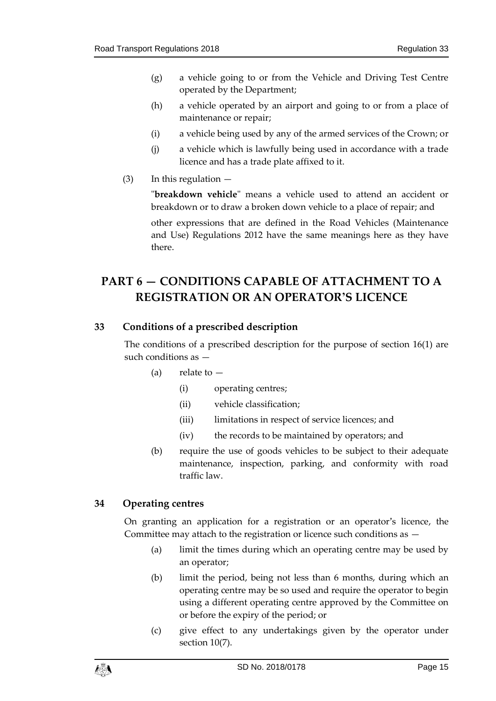- (g) a vehicle going to or from the Vehicle and Driving Test Centre operated by the Department;
- (h) a vehicle operated by an airport and going to or from a place of maintenance or repair;
- (i) a vehicle being used by any of the armed services of the Crown; or
- (j) a vehicle which is lawfully being used in accordance with a trade licence and has a trade plate affixed to it.
- $(3)$  In this regulation  $-$

"**breakdown vehicle**" means a vehicle used to attend an accident or breakdown or to draw a broken down vehicle to a place of repair; and

other expressions that are defined in the Road Vehicles (Maintenance and Use) Regulations 2012 have the same meanings here as they have there.

# <span id="page-14-0"></span>**PART 6 — CONDITIONS CAPABLE OF ATTACHMENT TO A REGISTRATION OR AN OPERATOR'S LICENCE**

## <span id="page-14-1"></span>**33 Conditions of a prescribed description**

The conditions of a prescribed description for the purpose of section 16(1) are such conditions as —

- (a) relate to  $-$ 
	- (i) operating centres;
	- (ii) vehicle classification;
	- (iii) limitations in respect of service licences; and
	- (iv) the records to be maintained by operators; and
- (b) require the use of goods vehicles to be subject to their adequate maintenance, inspection, parking, and conformity with road traffic law.

#### <span id="page-14-2"></span>**34 Operating centres**

On granting an application for a registration or an operator's licence, the Committee may attach to the registration or licence such conditions as —

- (a) limit the times during which an operating centre may be used by an operator;
- (b) limit the period, being not less than 6 months, during which an operating centre may be so used and require the operator to begin using a different operating centre approved by the Committee on or before the expiry of the period; or
- (c) give effect to any undertakings given by the operator under section 10(7).

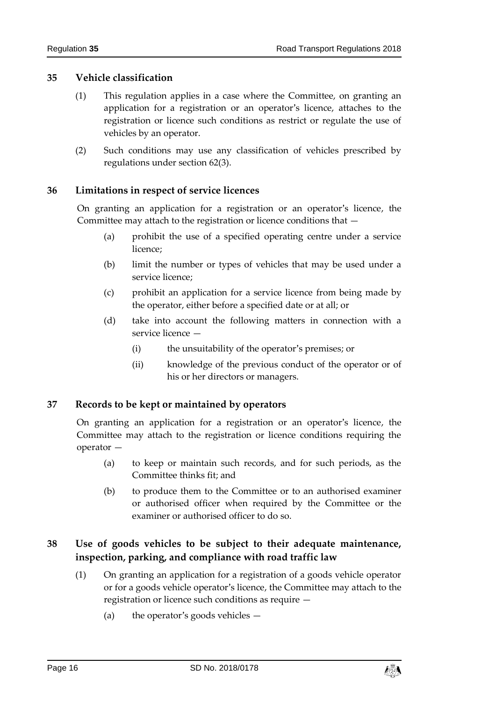#### <span id="page-15-0"></span>**35 Vehicle classification**

- (1) This regulation applies in a case where the Committee, on granting an application for a registration or an operator's licence, attaches to the registration or licence such conditions as restrict or regulate the use of vehicles by an operator.
- (2) Such conditions may use any classification of vehicles prescribed by regulations under section 62(3).

#### <span id="page-15-1"></span>**36 Limitations in respect of service licences**

On granting an application for a registration or an operator's licence, the Committee may attach to the registration or licence conditions that —

- (a) prohibit the use of a specified operating centre under a service licence;
- (b) limit the number or types of vehicles that may be used under a service licence;
- (c) prohibit an application for a service licence from being made by the operator, either before a specified date or at all; or
- (d) take into account the following matters in connection with a service licence —
	- (i) the unsuitability of the operator's premises; or
	- (ii) knowledge of the previous conduct of the operator or of his or her directors or managers.

#### <span id="page-15-2"></span>**37 Records to be kept or maintained by operators**

On granting an application for a registration or an operator's licence, the Committee may attach to the registration or licence conditions requiring the operator —

- (a) to keep or maintain such records, and for such periods, as the Committee thinks fit; and
- (b) to produce them to the Committee or to an authorised examiner or authorised officer when required by the Committee or the examiner or authorised officer to do so.

## <span id="page-15-3"></span>**38 Use of goods vehicles to be subject to their adequate maintenance, inspection, parking, and compliance with road traffic law**

- (1) On granting an application for a registration of a goods vehicle operator or for a goods vehicle operator's licence, the Committee may attach to the registration or licence such conditions as require —
	- (a) the operator's goods vehicles —

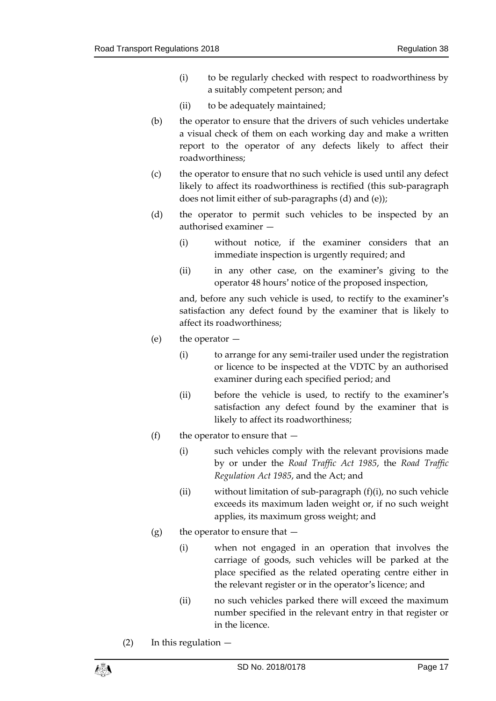- (i) to be regularly checked with respect to roadworthiness by a suitably competent person; and
- (ii) to be adequately maintained;
- (b) the operator to ensure that the drivers of such vehicles undertake a visual check of them on each working day and make a written report to the operator of any defects likely to affect their roadworthiness;
- (c) the operator to ensure that no such vehicle is used until any defect likely to affect its roadworthiness is rectified (this sub-paragraph does not limit either of sub-paragraphs (d) and (e));
- (d) the operator to permit such vehicles to be inspected by an authorised examiner —
	- (i) without notice, if the examiner considers that an immediate inspection is urgently required; and
	- (ii) in any other case, on the examiner's giving to the operator 48 hours' notice of the proposed inspection,

and, before any such vehicle is used, to rectify to the examiner's satisfaction any defect found by the examiner that is likely to affect its roadworthiness;

- (e) the operator
	- (i) to arrange for any semi-trailer used under the registration or licence to be inspected at the VDTC by an authorised examiner during each specified period; and
	- (ii) before the vehicle is used, to rectify to the examiner's satisfaction any defect found by the examiner that is likely to affect its roadworthiness;
- (f) the operator to ensure that  $-$ 
	- (i) such vehicles comply with the relevant provisions made by or under the *Road Traffic Act 1985*, the *Road Traffic Regulation Act 1985*, and the Act; and
	- (ii) without limitation of sub-paragraph (f)(i), no such vehicle exceeds its maximum laden weight or, if no such weight applies, its maximum gross weight; and
- (g) the operator to ensure that  $-$ 
	- (i) when not engaged in an operation that involves the carriage of goods, such vehicles will be parked at the place specified as the related operating centre either in the relevant register or in the operator's licence; and
	- (ii) no such vehicles parked there will exceed the maximum number specified in the relevant entry in that register or in the licence.
- $(2)$  In this regulation  $-$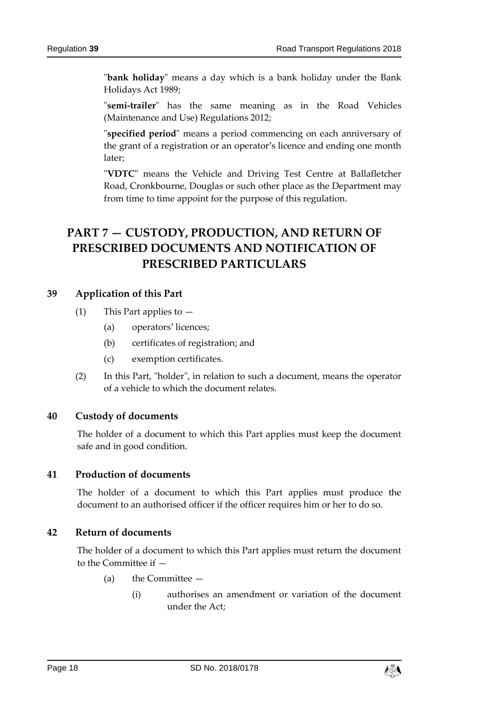"**bank holiday**" means a day which is a bank holiday under the Bank Holidays Act 1989;

"**semi-trailer**" has the same meaning as in the Road Vehicles (Maintenance and Use) Regulations 2012;

"**specified period**" means a period commencing on each anniversary of the grant of a registration or an operator's licence and ending one month later;

"**VDTC**" means the Vehicle and Driving Test Centre at Ballafletcher Road, Cronkbourne, Douglas or such other place as the Department may from time to time appoint for the purpose of this regulation.

# <span id="page-17-0"></span>**PART 7 — CUSTODY, PRODUCTION, AND RETURN OF PRESCRIBED DOCUMENTS AND NOTIFICATION OF PRESCRIBED PARTICULARS**

#### <span id="page-17-1"></span>**39 Application of this Part**

- (1) This Part applies to  $-$ 
	- (a) operators' licences;
	- (b) certificates of registration; and
	- (c) exemption certificates.
- (2) In this Part, "holder", in relation to such a document, means the operator of a vehicle to which the document relates.

#### <span id="page-17-2"></span>**40 Custody of documents**

The holder of a document to which this Part applies must keep the document safe and in good condition.

#### <span id="page-17-3"></span>**41 Production of documents**

The holder of a document to which this Part applies must produce the document to an authorised officer if the officer requires him or her to do so.

#### <span id="page-17-4"></span>**42 Return of documents**

The holder of a document to which this Part applies must return the document to the Committee if —

- (a) the Committee
	- (i) authorises an amendment or variation of the document under the Act;

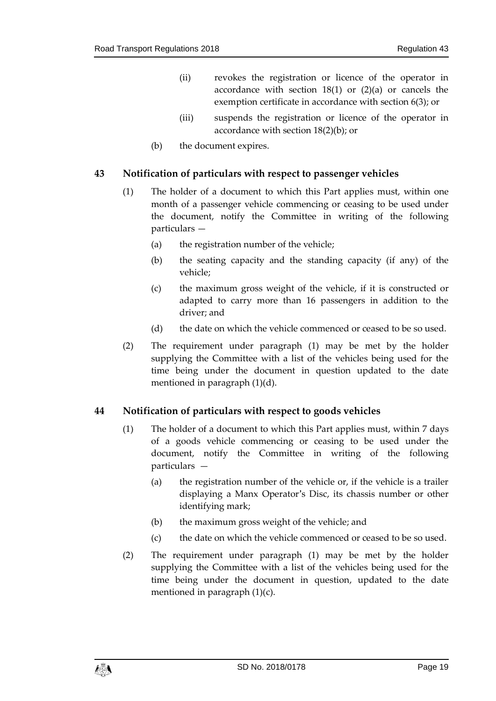- (ii) revokes the registration or licence of the operator in accordance with section  $18(1)$  or  $(2)(a)$  or cancels the exemption certificate in accordance with section 6(3); or
- (iii) suspends the registration or licence of the operator in accordance with section 18(2)(b); or
- (b) the document expires.

#### <span id="page-18-0"></span>**43 Notification of particulars with respect to passenger vehicles**

- (1) The holder of a document to which this Part applies must, within one month of a passenger vehicle commencing or ceasing to be used under the document, notify the Committee in writing of the following particulars —
	- (a) the registration number of the vehicle;
	- (b) the seating capacity and the standing capacity (if any) of the vehicle;
	- (c) the maximum gross weight of the vehicle, if it is constructed or adapted to carry more than 16 passengers in addition to the driver; and
	- (d) the date on which the vehicle commenced or ceased to be so used.
- (2) The requirement under paragraph (1) may be met by the holder supplying the Committee with a list of the vehicles being used for the time being under the document in question updated to the date mentioned in paragraph (1)(d).

#### <span id="page-18-1"></span>**44 Notification of particulars with respect to goods vehicles**

- (1) The holder of a document to which this Part applies must, within 7 days of a goods vehicle commencing or ceasing to be used under the document, notify the Committee in writing of the following particulars —
	- (a) the registration number of the vehicle or, if the vehicle is a trailer displaying a Manx Operator's Disc, its chassis number or other identifying mark;
	- (b) the maximum gross weight of the vehicle; and
	- (c) the date on which the vehicle commenced or ceased to be so used.
- (2) The requirement under paragraph (1) may be met by the holder supplying the Committee with a list of the vehicles being used for the time being under the document in question, updated to the date mentioned in paragraph (1)(c).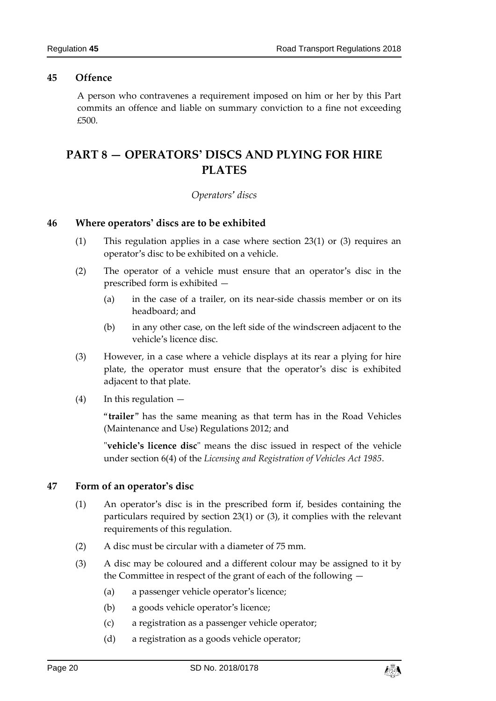#### <span id="page-19-0"></span>**45 Offence**

A person who contravenes a requirement imposed on him or her by this Part commits an offence and liable on summary conviction to a fine not exceeding £500.

# <span id="page-19-2"></span><span id="page-19-1"></span>**PART 8 — OPERATORS' DISCS AND PLYING FOR HIRE PLATES**

#### *Operators' discs*

#### <span id="page-19-3"></span>**46 Where operators' discs are to be exhibited**

- (1) This regulation applies in a case where section 23(1) or (3) requires an operator's disc to be exhibited on a vehicle.
- (2) The operator of a vehicle must ensure that an operator's disc in the prescribed form is exhibited —
	- (a) in the case of a trailer, on its near-side chassis member or on its headboard; and
	- (b) in any other case, on the left side of the windscreen adjacent to the vehicle's licence disc.
- (3) However, in a case where a vehicle displays at its rear a plying for hire plate, the operator must ensure that the operator's disc is exhibited adjacent to that plate.
- (4) In this regulation —

"**trailer**" has the same meaning as that term has in the Road Vehicles (Maintenance and Use) Regulations 2012; and

"**vehicle's licence disc**" means the disc issued in respect of the vehicle under section 6(4) of the *Licensing and Registration of Vehicles Act 1985*.

#### <span id="page-19-4"></span>**47 Form of an operator's disc**

- (1) An operator's disc is in the prescribed form if, besides containing the particulars required by section 23(1) or (3), it complies with the relevant requirements of this regulation.
- (2) A disc must be circular with a diameter of 75 mm.
- (3) A disc may be coloured and a different colour may be assigned to it by the Committee in respect of the grant of each of the following —
	- (a) a passenger vehicle operator's licence;
	- (b) a goods vehicle operator's licence;
	- (c) a registration as a passenger vehicle operator;
	- (d) a registration as a goods vehicle operator;

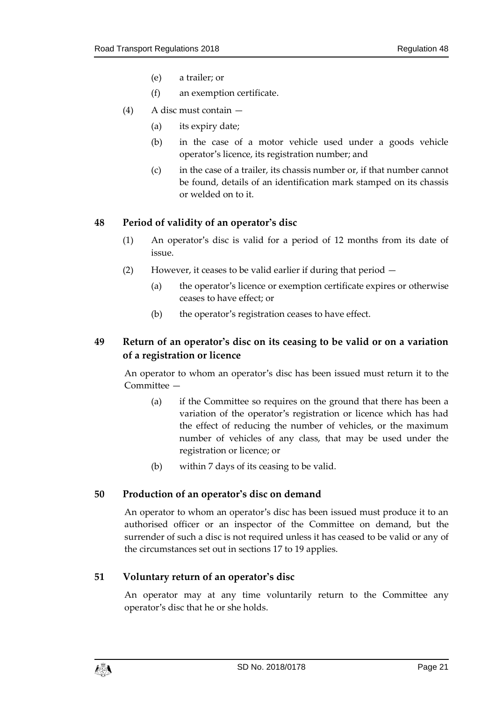- (e) a trailer; or
- (f) an exemption certificate.
- (4) A disc must contain
	- (a) its expiry date;
	- (b) in the case of a motor vehicle used under a goods vehicle operator's licence, its registration number; and
	- (c) in the case of a trailer, its chassis number or, if that number cannot be found, details of an identification mark stamped on its chassis or welded on to it.

#### <span id="page-20-0"></span>**48 Period of validity of an operator's disc**

- (1) An operator's disc is valid for a period of 12 months from its date of issue.
- (2) However, it ceases to be valid earlier if during that period
	- (a) the operator's licence or exemption certificate expires or otherwise ceases to have effect; or
	- (b) the operator's registration ceases to have effect.

## <span id="page-20-1"></span>**49 Return of an operator's disc on its ceasing to be valid or on a variation of a registration or licence**

An operator to whom an operator's disc has been issued must return it to the Committee —

- (a) if the Committee so requires on the ground that there has been a variation of the operator's registration or licence which has had the effect of reducing the number of vehicles, or the maximum number of vehicles of any class, that may be used under the registration or licence; or
- (b) within 7 days of its ceasing to be valid.

#### <span id="page-20-2"></span>**50 Production of an operator's disc on demand**

An operator to whom an operator's disc has been issued must produce it to an authorised officer or an inspector of the Committee on demand, but the surrender of such a disc is not required unless it has ceased to be valid or any of the circumstances set out in sections 17 to 19 applies.

#### <span id="page-20-3"></span>**51 Voluntary return of an operator's disc**

An operator may at any time voluntarily return to the Committee any operator's disc that he or she holds.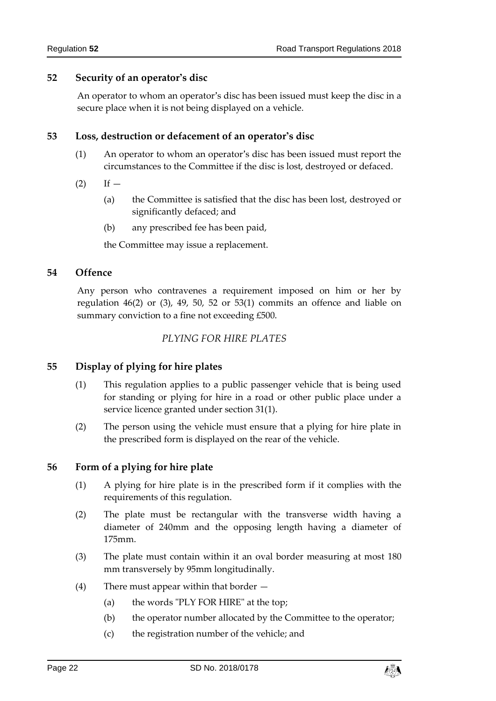#### <span id="page-21-0"></span>**52 Security of an operator's disc**

An operator to whom an operator's disc has been issued must keep the disc in a secure place when it is not being displayed on a vehicle.

#### <span id="page-21-1"></span>**53 Loss, destruction or defacement of an operator's disc**

- (1) An operator to whom an operator's disc has been issued must report the circumstances to the Committee if the disc is lost, destroyed or defaced.
- $(2)$  If  $-$ 
	- (a) the Committee is satisfied that the disc has been lost, destroyed or significantly defaced; and
	- (b) any prescribed fee has been paid,

the Committee may issue a replacement.

#### <span id="page-21-2"></span>**54 Offence**

Any person who contravenes a requirement imposed on him or her by regulation 46(2) or (3), 49, 50, 52 or 53(1) commits an offence and liable on summary conviction to a fine not exceeding £500.

#### *PLYING FOR HIRE PLATES*

#### <span id="page-21-4"></span><span id="page-21-3"></span>**55 Display of plying for hire plates**

- (1) This regulation applies to a public passenger vehicle that is being used for standing or plying for hire in a road or other public place under a service licence granted under section 31(1).
- (2) The person using the vehicle must ensure that a plying for hire plate in the prescribed form is displayed on the rear of the vehicle.

#### <span id="page-21-5"></span>**56 Form of a plying for hire plate**

- (1) A plying for hire plate is in the prescribed form if it complies with the requirements of this regulation.
- (2) The plate must be rectangular with the transverse width having a diameter of 240mm and the opposing length having a diameter of 175mm.
- (3) The plate must contain within it an oval border measuring at most 180 mm transversely by 95mm longitudinally.
- (4) There must appear within that border
	- (a) the words "PLY FOR HIRE" at the top;
	- (b) the operator number allocated by the Committee to the operator;
	- (c) the registration number of the vehicle; and

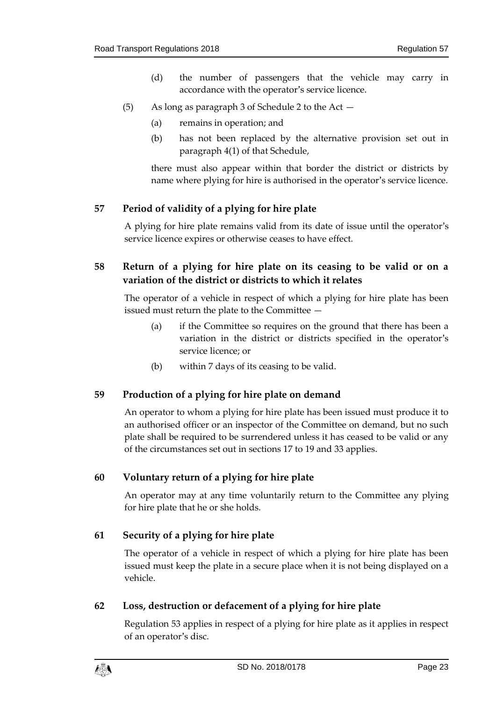- (d) the number of passengers that the vehicle may carry in accordance with the operator's service licence.
- (5) As long as paragraph 3 of Schedule 2 to the Act
	- (a) remains in operation; and
	- (b) has not been replaced by the alternative provision set out in paragraph 4(1) of that Schedule,

there must also appear within that border the district or districts by name where plying for hire is authorised in the operator's service licence.

## <span id="page-22-0"></span>**57 Period of validity of a plying for hire plate**

A plying for hire plate remains valid from its date of issue until the operator's service licence expires or otherwise ceases to have effect.

## <span id="page-22-1"></span>**58 Return of a plying for hire plate on its ceasing to be valid or on a variation of the district or districts to which it relates**

The operator of a vehicle in respect of which a plying for hire plate has been issued must return the plate to the Committee —

- (a) if the Committee so requires on the ground that there has been a variation in the district or districts specified in the operator's service licence; or
- (b) within 7 days of its ceasing to be valid.

#### <span id="page-22-2"></span>**59 Production of a plying for hire plate on demand**

An operator to whom a plying for hire plate has been issued must produce it to an authorised officer or an inspector of the Committee on demand, but no such plate shall be required to be surrendered unless it has ceased to be valid or any of the circumstances set out in sections 17 to 19 and 33 applies.

#### <span id="page-22-3"></span>**60 Voluntary return of a plying for hire plate**

An operator may at any time voluntarily return to the Committee any plying for hire plate that he or she holds.

#### <span id="page-22-4"></span>**61 Security of a plying for hire plate**

The operator of a vehicle in respect of which a plying for hire plate has been issued must keep the plate in a secure place when it is not being displayed on a vehicle.

#### <span id="page-22-5"></span>**62 Loss, destruction or defacement of a plying for hire plate**

Regulation 53 applies in respect of a plying for hire plate as it applies in respect of an operator's disc.

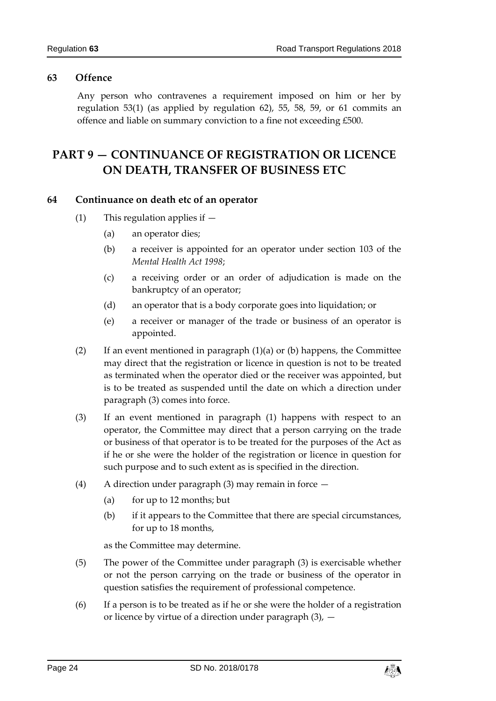### <span id="page-23-0"></span>**63 Offence**

Any person who contravenes a requirement imposed on him or her by regulation 53(1) (as applied by regulation 62), 55, 58, 59, or 61 commits an offence and liable on summary conviction to a fine not exceeding £500.

# <span id="page-23-1"></span>**PART 9 — CONTINUANCE OF REGISTRATION OR LICENCE ON DEATH, TRANSFER OF BUSINESS ETC**

#### <span id="page-23-2"></span>**64 Continuance on death etc of an operator**

- (1) This regulation applies if
	- (a) an operator dies;
	- (b) a receiver is appointed for an operator under section 103 of the *Mental Health Act 1998*;
	- (c) a receiving order or an order of adjudication is made on the bankruptcy of an operator;
	- (d) an operator that is a body corporate goes into liquidation; or
	- (e) a receiver or manager of the trade or business of an operator is appointed.
- (2) If an event mentioned in paragraph  $(1)(a)$  or  $(b)$  happens, the Committee may direct that the registration or licence in question is not to be treated as terminated when the operator died or the receiver was appointed, but is to be treated as suspended until the date on which a direction under paragraph (3) comes into force.
- (3) If an event mentioned in paragraph (1) happens with respect to an operator, the Committee may direct that a person carrying on the trade or business of that operator is to be treated for the purposes of the Act as if he or she were the holder of the registration or licence in question for such purpose and to such extent as is specified in the direction.
- (4) A direction under paragraph (3) may remain in force
	- (a) for up to 12 months; but
	- (b) if it appears to the Committee that there are special circumstances, for up to 18 months,

as the Committee may determine.

- (5) The power of the Committee under paragraph (3) is exercisable whether or not the person carrying on the trade or business of the operator in question satisfies the requirement of professional competence.
- (6) If a person is to be treated as if he or she were the holder of a registration or licence by virtue of a direction under paragraph  $(3)$ ,  $-$

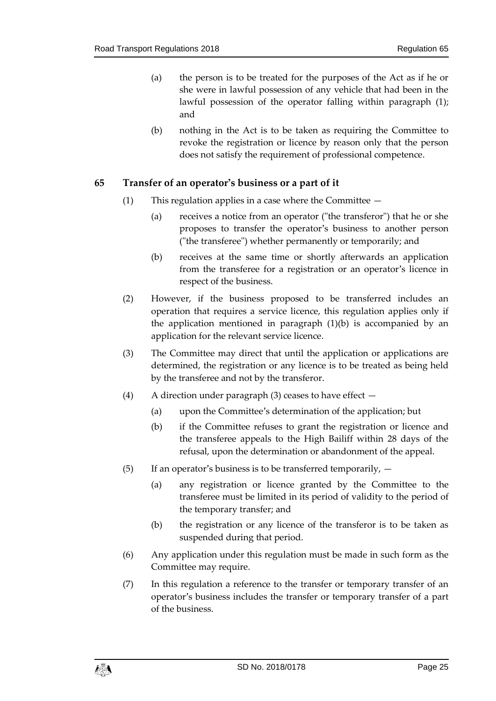- (a) the person is to be treated for the purposes of the Act as if he or she were in lawful possession of any vehicle that had been in the lawful possession of the operator falling within paragraph (1); and
- (b) nothing in the Act is to be taken as requiring the Committee to revoke the registration or licence by reason only that the person does not satisfy the requirement of professional competence.

#### <span id="page-24-0"></span>**65 Transfer of an operator's business or a part of it**

- (1) This regulation applies in a case where the Committee
	- (a) receives a notice from an operator ("the transferor") that he or she proposes to transfer the operator's business to another person ("the transferee") whether permanently or temporarily; and
	- (b) receives at the same time or shortly afterwards an application from the transferee for a registration or an operator's licence in respect of the business.
- (2) However, if the business proposed to be transferred includes an operation that requires a service licence, this regulation applies only if the application mentioned in paragraph (1)(b) is accompanied by an application for the relevant service licence.
- (3) The Committee may direct that until the application or applications are determined, the registration or any licence is to be treated as being held by the transferee and not by the transferor.
- (4) A direction under paragraph (3) ceases to have effect
	- (a) upon the Committee's determination of the application; but
	- (b) if the Committee refuses to grant the registration or licence and the transferee appeals to the High Bailiff within 28 days of the refusal, upon the determination or abandonment of the appeal.
- (5) If an operator's business is to be transferred temporarily,  $-$ 
	- (a) any registration or licence granted by the Committee to the transferee must be limited in its period of validity to the period of the temporary transfer; and
	- (b) the registration or any licence of the transferor is to be taken as suspended during that period.
- (6) Any application under this regulation must be made in such form as the Committee may require.
- (7) In this regulation a reference to the transfer or temporary transfer of an operator's business includes the transfer or temporary transfer of a part of the business.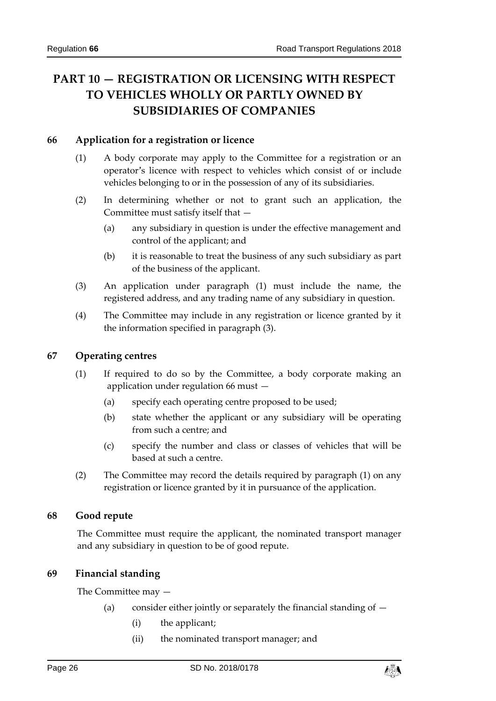# <span id="page-25-0"></span>**PART 10 — REGISTRATION OR LICENSING WITH RESPECT TO VEHICLES WHOLLY OR PARTLY OWNED BY SUBSIDIARIES OF COMPANIES**

#### <span id="page-25-1"></span>**66 Application for a registration or licence**

- (1) A body corporate may apply to the Committee for a registration or an operator's licence with respect to vehicles which consist of or include vehicles belonging to or in the possession of any of its subsidiaries.
- (2) In determining whether or not to grant such an application, the Committee must satisfy itself that —
	- (a) any subsidiary in question is under the effective management and control of the applicant; and
	- (b) it is reasonable to treat the business of any such subsidiary as part of the business of the applicant.
- (3) An application under paragraph (1) must include the name, the registered address, and any trading name of any subsidiary in question.
- (4) The Committee may include in any registration or licence granted by it the information specified in paragraph (3).

#### <span id="page-25-2"></span>**67 Operating centres**

- (1) If required to do so by the Committee, a body corporate making an application under regulation 66 must —
	- (a) specify each operating centre proposed to be used;
	- (b) state whether the applicant or any subsidiary will be operating from such a centre; and
	- (c) specify the number and class or classes of vehicles that will be based at such a centre.
- (2) The Committee may record the details required by paragraph (1) on any registration or licence granted by it in pursuance of the application.

#### <span id="page-25-3"></span>**68 Good repute**

The Committee must require the applicant, the nominated transport manager and any subsidiary in question to be of good repute.

#### <span id="page-25-4"></span>**69 Financial standing**

The Committee may —

- (a) consider either jointly or separately the financial standing of  $-$ 
	- (i) the applicant;
	- (ii) the nominated transport manager; and

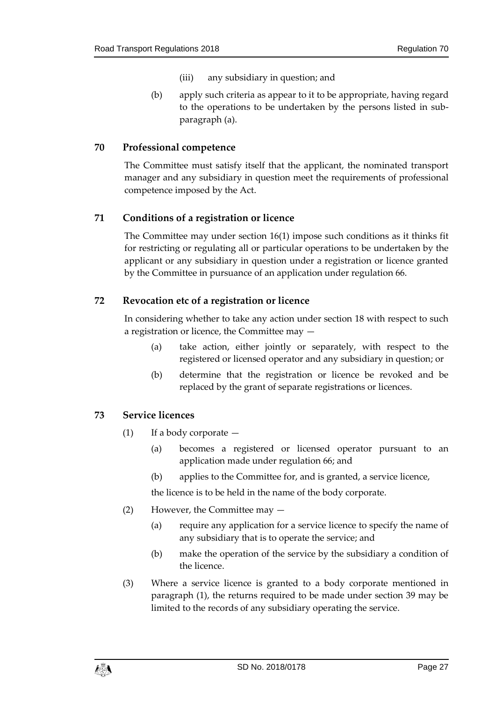- (iii) any subsidiary in question; and
- (b) apply such criteria as appear to it to be appropriate, having regard to the operations to be undertaken by the persons listed in subparagraph (a).

#### <span id="page-26-0"></span>**70 Professional competence**

The Committee must satisfy itself that the applicant, the nominated transport manager and any subsidiary in question meet the requirements of professional competence imposed by the Act.

#### <span id="page-26-1"></span>**71 Conditions of a registration or licence**

The Committee may under section 16(1) impose such conditions as it thinks fit for restricting or regulating all or particular operations to be undertaken by the applicant or any subsidiary in question under a registration or licence granted by the Committee in pursuance of an application under regulation 66.

#### <span id="page-26-2"></span>**72 Revocation etc of a registration or licence**

In considering whether to take any action under section 18 with respect to such a registration or licence, the Committee may —

- (a) take action, either jointly or separately, with respect to the registered or licensed operator and any subsidiary in question; or
- (b) determine that the registration or licence be revoked and be replaced by the grant of separate registrations or licences.

#### <span id="page-26-3"></span>**73 Service licences**

- (1) If a body corporate  $-$ 
	- (a) becomes a registered or licensed operator pursuant to an application made under regulation 66; and
	- (b) applies to the Committee for, and is granted, a service licence,

the licence is to be held in the name of the body corporate.

- (2) However, the Committee may
	- (a) require any application for a service licence to specify the name of any subsidiary that is to operate the service; and
	- (b) make the operation of the service by the subsidiary a condition of the licence.
- (3) Where a service licence is granted to a body corporate mentioned in paragraph (1), the returns required to be made under section 39 may be limited to the records of any subsidiary operating the service.

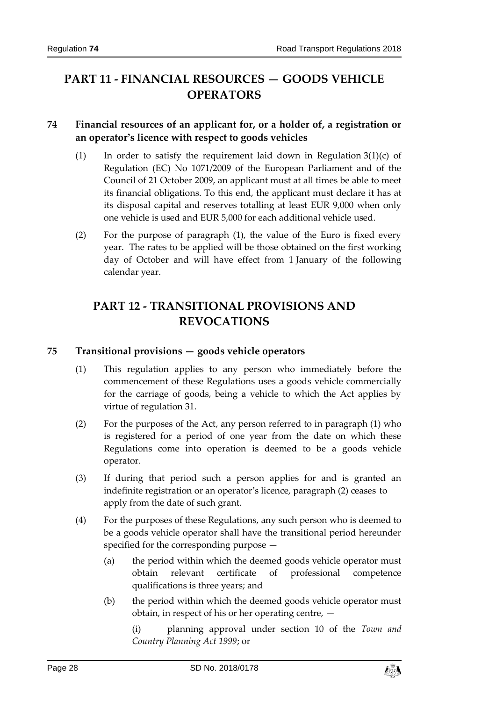# <span id="page-27-0"></span>**PART 11 - FINANCIAL RESOURCES — GOODS VEHICLE OPERATORS**

## <span id="page-27-1"></span>**74 Financial resources of an applicant for, or a holder of, a registration or an operator's licence with respect to goods vehicles**

- (1) In order to satisfy the requirement laid down in Regulation  $3(1)(c)$  of Regulation (EC) No 1071/2009 of the European Parliament and of the Council of 21 October 2009, an applicant must at all times be able to meet its financial obligations. To this end, the applicant must declare it has at its disposal capital and reserves totalling at least EUR 9,000 when only one vehicle is used and EUR 5,000 for each additional vehicle used.
- (2) For the purpose of paragraph (1), the value of the Euro is fixed every year. The rates to be applied will be those obtained on the first working day of October and will have effect from 1 January of the following calendar year.

# <span id="page-27-2"></span>**PART 12 - TRANSITIONAL PROVISIONS AND REVOCATIONS**

#### <span id="page-27-3"></span>**75 Transitional provisions — goods vehicle operators**

- (1) This regulation applies to any person who immediately before the commencement of these Regulations uses a goods vehicle commercially for the carriage of goods, being a vehicle to which the Act applies by virtue of regulation 31.
- (2) For the purposes of the Act, any person referred to in paragraph (1) who is registered for a period of one year from the date on which these Regulations come into operation is deemed to be a goods vehicle operator.
- (3) If during that period such a person applies for and is granted an indefinite registration or an operator's licence, paragraph (2) ceases to apply from the date of such grant.
- (4) For the purposes of these Regulations, any such person who is deemed to be a goods vehicle operator shall have the transitional period hereunder specified for the corresponding purpose —
	- (a) the period within which the deemed goods vehicle operator must obtain relevant certificate of professional competence qualifications is three years; and
	- (b) the period within which the deemed goods vehicle operator must obtain, in respect of his or her operating centre, —

(i) planning approval under section 10 of the *Town and Country Planning Act 1999*; or

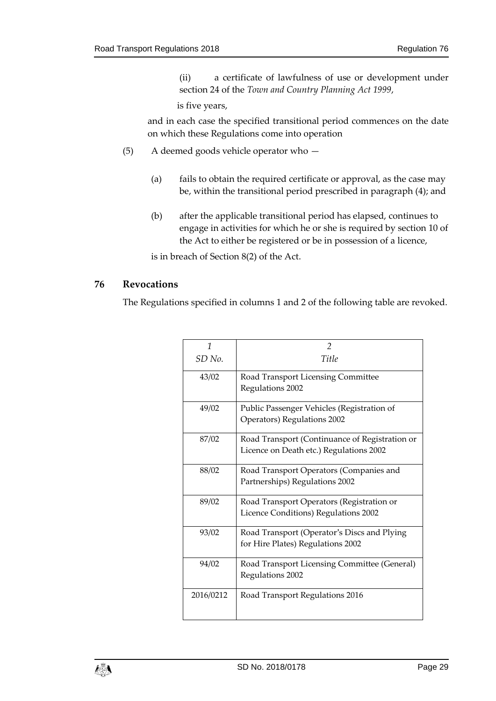(ii) a certificate of lawfulness of use or development under section 24 of the *Town and Country Planning Act 1999*,

is five years,

and in each case the specified transitional period commences on the date on which these Regulations come into operation

- (5) A deemed goods vehicle operator who
	- (a) fails to obtain the required certificate or approval, as the case may be, within the transitional period prescribed in paragraph (4); and
	- (b) after the applicable transitional period has elapsed, continues to engage in activities for which he or she is required by section 10 of the Act to either be registered or be in possession of a licence,

is in breach of Section 8(2) of the Act.

#### <span id="page-28-0"></span>**76 Revocations**

The Regulations specified in columns 1 and 2 of the following table are revoked.

| 1                 | $\mathfrak{D}$                                 |
|-------------------|------------------------------------------------|
| SD <sub>No.</sub> | Title                                          |
| 43/02             | Road Transport Licensing Committee             |
|                   | Regulations 2002                               |
| 49/02             | Public Passenger Vehicles (Registration of     |
|                   | Operators) Regulations 2002                    |
| 87/02             | Road Transport (Continuance of Registration or |
|                   | Licence on Death etc.) Regulations 2002        |
| 88/02             | Road Transport Operators (Companies and        |
|                   | Partnerships) Regulations 2002                 |
| 89/02             | Road Transport Operators (Registration or      |
|                   | Licence Conditions) Regulations 2002           |
| 93/02             | Road Transport (Operator's Discs and Plying    |
|                   | for Hire Plates) Regulations 2002              |
| 94/02             | Road Transport Licensing Committee (General)   |
|                   | Regulations 2002                               |
| 2016/0212         | Road Transport Regulations 2016                |
|                   |                                                |

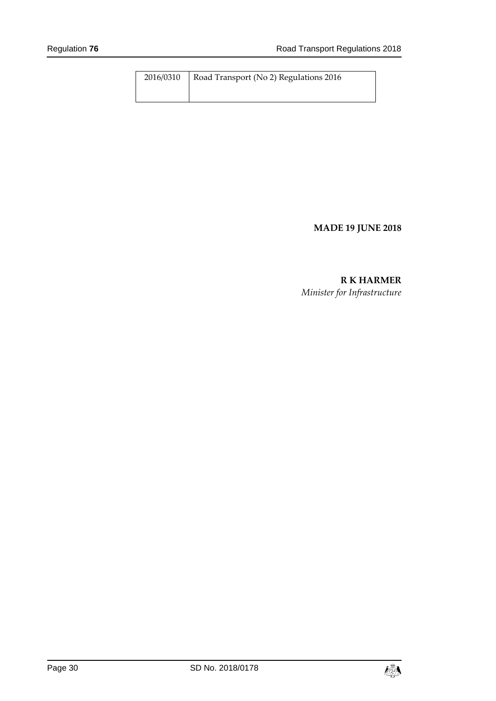| 2016/0310 | Road Transport (No 2) Regulations 2016 |
|-----------|----------------------------------------|
|           |                                        |

## **MADE 19 JUNE 2018**

# **R K HARMER**

*Minister for Infrastructure*

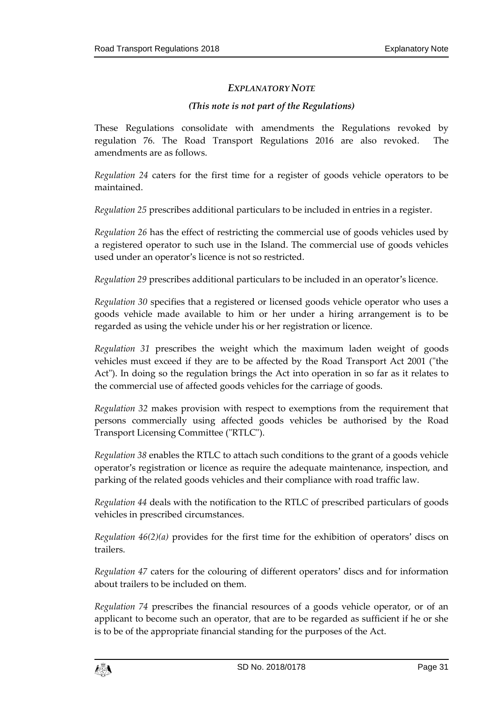#### *EXPLANATORY NOTE*

#### *(This note is not part of the Regulations)*

These Regulations consolidate with amendments the Regulations revoked by regulation 76. The Road Transport Regulations 2016 are also revoked. The amendments are as follows.

*Regulation 24* caters for the first time for a register of goods vehicle operators to be maintained.

*Regulation 25* prescribes additional particulars to be included in entries in a register.

*Regulation 26* has the effect of restricting the commercial use of goods vehicles used by a registered operator to such use in the Island. The commercial use of goods vehicles used under an operator's licence is not so restricted.

*Regulation 29* prescribes additional particulars to be included in an operator's licence.

*Regulation 30* specifies that a registered or licensed goods vehicle operator who uses a goods vehicle made available to him or her under a hiring arrangement is to be regarded as using the vehicle under his or her registration or licence.

*Regulation 31* prescribes the weight which the maximum laden weight of goods vehicles must exceed if they are to be affected by the Road Transport Act 2001 ("the Act"). In doing so the regulation brings the Act into operation in so far as it relates to the commercial use of affected goods vehicles for the carriage of goods.

*Regulation 32* makes provision with respect to exemptions from the requirement that persons commercially using affected goods vehicles be authorised by the Road Transport Licensing Committee ("RTLC").

*Regulation 38* enables the RTLC to attach such conditions to the grant of a goods vehicle operator's registration or licence as require the adequate maintenance, inspection, and parking of the related goods vehicles and their compliance with road traffic law.

*Regulation 44* deals with the notification to the RTLC of prescribed particulars of goods vehicles in prescribed circumstances.

*Regulation 46(2)(a)* provides for the first time for the exhibition of operators' discs on trailers.

*Regulation 47* caters for the colouring of different operators' discs and for information about trailers to be included on them.

*Regulation 74* prescribes the financial resources of a goods vehicle operator, or of an applicant to become such an operator, that are to be regarded as sufficient if he or she is to be of the appropriate financial standing for the purposes of the Act.